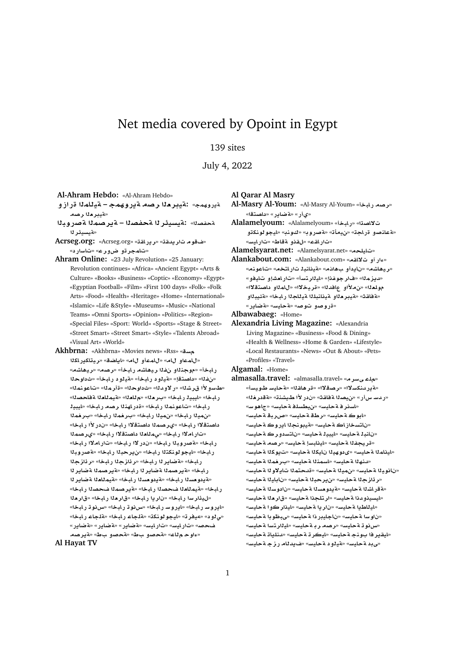# Net media covered by Opoint in Egypt

# 139 sites

July 4, 2022

**Al-Ahram Hebdo:** «Al-Ahram Hebdo»

ةيروهمج» :**ةيبر ما رصه ةيروهمج – ةيللما**ا قرازو «**ت**يبرملارصه

- **bwC}T mOr§T – OfT r¶ysyT:** «**OfT r¶ysyT**»
- **Acrseg.org:** «Acrseg.org» «**qAC§r**» «**qd§r w**» «تامجر تو ض ورع» «تاسار د»
- **Ahram Online:** «23 July Revolution» «25 January: Revolution continues» «Africa» «Ancient Egypt» «Arts & Culture» «Books» «Business» «Coptic» «Economy» «Egypt» «Egyptian Football» «Film» «First 100 days» «Folk» «Folk Arts» «Food» «Health» «Heritage» «Home» «International» «Islamic» «Life &Style» «Museums» «Music» «National Teams» «Omni Sports» «Opinion» «Politics» «Region» «Special Files» «Sport: World» «Sports» «Stage & Street» «Street Smart» «Street Smart» «Style» «Talents Abroad» «Visual Art» «World»
- **Akhbrna:** «Akhbrna» «Movies news» «Rss» «**s kAC§kAyr**» «**SA§A**» «**A ¤mA**» «**A ¤mA**» رابخأ» «موجنااو نفاا ريهاشه رابخأ» «رصه» «ريهاشه» « $\ddot{\textbf{u}}$  فلصلة» «ملك و درابخاً» «ملك الله » «غداو حلا «طاسو لأا قرشذا» «ر لاودذا» «ثاداوحذا» «ةأرمذا» «تاعونمذا» ر ابخا» «ليبيـلـر ابـخا» «بـرحلـا» «م1لحـله» «مقيمـللحـلـ alمحصـلـا» رابخا» «تاعونم**ن**ا رابخا» «ةدراهننا رصه رابخا» «ايبينا «نهيـلا رـابـخا» «نهيـلـا رـابـخا» «بـرـغمـلـا داصتقلاا ر.ابخا» «ير صمـ1**ا داصتقلاا ر.ابخا» «ن.در لأا ر.ابخا**» «تار املاً رابخا» «يملل**د**ا داصت<mark>قلاً</mark> رابخا» «يرصماً رابخا» «ةصروبةا رابخا» «ندر لاا رابخا» «تاراملاا رابخا» ر.ابخا» «ليجو لونكتلا ر.ابخا» «نير حبلا ر.ابخا» «**قصر وب**لا رابخا» «**فاير نا رابخا» «رئازجنا رابخا» «رئازجن**ا ر.ابخا» «**قير صم**ئا ةضاير ئا ر.ابخا» «ةير صمئا ةضاير ئا «قيدومسلا رابخا» «قيدومسلا رابخا» «قيمللملا ةضاير لـ1 رابخا» «قيمللعلا فحصلا رابخا» «قيرصملا فحصلا رابخا» «ليذار سا رابخا» «ناريا رابخا» «قار دلا رابخا» «قار دلا «ايروسار بابخا» «ايروسار بابخا» «س**رنو ت**ار بابخا» «سرنو تار بابخا» «*ق د*» «ميفر ته «ايجو لونكة» «قلجاء رابخا» «قلجاء رابخا» «**C§ART**» «**C§ART**» «**C§ART**» «**FyAC**» «**FyAC**» «**} Or§T**» «**V ¤}T**» «**V ¤}T**» «**A wº**»

#### **Al Hayat TV**

**Al Qarar Al Masry**

**Al-Masry Al-Youm:** «Al-Masry Al-Youm» «**bAC Or**» «ىأر» «**مقاير» «داصت**قا»

**Alalamelyoum:** «Alalamelyoum» «**bAC**» «**OA¯** «**¤عانصو قراجة» «نيمأت» «ةصروب» «كونب» «ليجو لونكڌو** «**تاراق**ع» «لقذو ةقاط» «تارايس»

**Alamelsyarat.net:** «Alamelsyarat.net» «**lyA**»

Alankabout.com: «Alankabout.com» «عار أو ت<sup>8</sup>القه» «ريهاشه» «نايدأو ب4انه» «ةينانبة تار اتخه» «تاعونه» «ديزملل» «فارجوفذإ» «ليللرتسأ» «تاراهشإو تايفو» مولعله» «ن.ملأاو- عافدلله «قريخلاله «ل.امللو- داصتقلاله» «a'ala» «**b**يبر دااو aّينانبلـلاا aّيـللجـلالرابخا» «قئيبـلـاو «**قروصو توص**» «**ةحايس» «ةضاير**»

**Albawabaeg:** «Home»

**Alexandria Living Magazine:** «Alexandria Living Magazine» «Business» «Food & Dining» «Health & Wellness» «Home & Garden» «Lifestyle» «Local Restaurants» «News» «Out & About» «Pets» «Profiles» «Travel»

#### **Algamal:** «Home»

a**lmasalla.travel:** «almasalla.travel» «**almasal** «**Aوردنكسلا» «رصولا» «قرهاق**له» «قحايس طويساً» «ردسـ سiر» «نيصنا ةفاقث» «ندر لأا طبيشنة» «ةقدرخنا» «اسنر فيةحايس» «نيطسلة لأحايس» «جاهوس» «**ادو ڪ ة حايس» «ر طق ة حايس» «ص ربق ة حايس**» «ناتسخاز اڪ ةحليس» «**تيبونج**ڻا اير وڪ ةحليس» «نانبذ ةحايس» «ايبيذ ةحايس» «ناتسدورك ةحايس» «قريجفنا ةحايس» «اينلبسإ ةحايس» «رصه ةحايس» «اينامذا ةحايس» «ىدوهيذا نايكذا ةحليس» «تيوكذا ةحايس» «لتنهلا ةحايس» «لسمنلا ةحايس» «بترخملا ةحايس» «نانوينا ةحايس» «نمينا ةحايس» «قدحتمنا تايلاونا ةحايس» «**بر ثاز حلّا a حاسب» «بن بر حدل**ًا a حاسب» «نابانية الله عاسبه» «هقر اشنا ةحايس» «ةيدوهسنا ةحايس» «نادوسنا ةحايس» «ايسيذو دذا ةحايس» «ارتلجذا ةحايس» «قار **د**لا ةحايس» «**اي**للطيا ةحايس» «نار يا ةحايس» «ايذار كوا ةحايس» «ناو سا ةحليس» «ناجليدر ذا ةحليس» «ي.ظو دا ةحليس» «**س نو ت** ةحايس» «رصم ر بـ ةحايس» «ايـنار تسا ةحايس» «ليقير فا بونجـ ةحليس» «ليكر تـ ةحليس» «<mark>دنليات</mark>ـ ةحليس» «می دد **قحایس» «قیلو د قحایس» «ف بدلام رز ج** قحایس»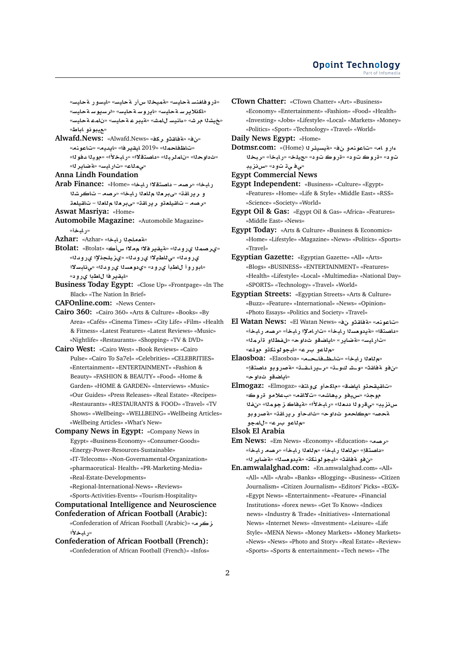«قروفا<del>ف</del>نسةحليس» «قميخلاسأر ةحليس» «ليسور ةحليس» «**اكذلاير س**ةحايس» «ايروسةحليس» «ارسيوسةحليس» «**خيشنا مرش» «علنيس للمش» «ةيبر عـةحليس» «نلمـعـةحليس»** «**عيبونو اباط»** 

- **Alwafd.News:** «Alwafd.News» «**kr ¤qAT**» «» «**nwA**» «**yd§A**» «**r§qyA** 2019» «**mA\A**» «ثداو حذا» «نامذر بـنا» «داصتـقلاًا» «ر ابـخلاًا» «مو يـنا دفو نا» «مىملاع» «تارليس» «<mark>A ضاير ل</mark>ه»
- **Anna Lindh Foundation**

**Arab Finance:** «Home» «**bAC ¯tOA** – **Or**» «**bAC** و ريراقة» «يبرمنا م للعنا رابخا» «رصه – تاكرشنا

«<mark>رصه – تاقيلع</mark>قو ريرافة» «ىبرملا م للعلا – تاقيلعة **Aswat Masriya:** «Home»

**Automobile Magazine:** «Automobile Magazine» «**و المخ**أ»

Azhar: «Azhar» «بة هماجلا رابخا»

«يرصمـ*ڌ*ا يرودنا» «قيقير فلاا م.مـلاا سiڪ» -Btolat: «Btolat یر و دل<sup>ه» «</sup>ی للطبلا یر و دله» «یز پلجذلا ایر و دله» «ابوروأ للطبأ ي رود» «ي دومسلا ي رودنا» «ي نابسلاا «ايقير فا ل**اط**با ي رود»

**Business Today Egypt:** «Close Up» «Frontpage» «In The Black» «The Nation In Brief»

**CAFOnline.com:** «News Center»

- **Cairo 360:** «Cairo 360» «Arts & Culture» «Books» «By Area» «Cafés» «Cinema Times» «City Life» «Film» «Health & Fitness» «Latest Features» «Latest Reviews» «Music» «Nightlife» «Restaurants» «Shopping» «TV & DVD»
- **Cairo West:** «Cairo West» «Book Reviews» «Cairo Pulse» «Cairo To Sa7el» «Celebrities» «CELEBRITIES» «Entertainment» «ENTERTAINMENT» «Fashion & Beauty» «FASHION & BEAUTY» «Food» «Home & Garden» «HOME & GARDEN» «Interviews» «Music» «Our Guides» «Press Releases» «Real Estate» «Recipes» «Restaurants» «RESTAURANTS & FOOD» «Travel» «TV Shows» «Wellbeing» «WELLBEING» «Wellbeing Articles» «Wellbeing Articles» «What's New»
- **Company News in Egypt:** «Company News in Egypt» «Business-Economy» «Consumer-Goods» «Energy-Power-Resources-Sustainable» «IT-Telecoms» «Non-Governamental-Organization» «pharmaceutical- Health» «PR-Marketing-Media» «Real-Estate-Developments»

«Regional-International-News» «Reviews»

«Sports-Activities-Events» «Tourism-Hospitality»

**Computational Intelligence and Neuroscience Confederation of African Football (Arabic):**

«Confederation of African Football (Arabic)» «**rz** «ر ابخلا<sup>ّ</sup>ا

**Confederation of African Football (French):** «Confederation of African Football (French)» «Infos» **CTown Chatter:** «CTown Chatter» «Art» «Business» «Economy» «Entertainment» «Fashion» «Food» «Health» «Investing» «Jobs» «Lifestyle» «Local» «Markets» «Money» «Politics» «Sport» «Technology» «Travel» «World»

**Daily News Egypt:** «Home»

**Dotmsr.com:** «(Home) **r¶ysyT**» « **¤nwA**» «**A ¤Cº br**» «**bAC**» «**ly**» « **¤ wC**» « **¤ wC**» « **¤** «*حي في ڌ تو د»* «س*ن نزيد* 

**Egypt Commercial News**

**Egypt Independent:** «Business» «Culture» «Egypt» «Features» «Home» «Life & Style» «Middle East» «RSS» «Science» «Society» «World»

**Egypt Oil & Gas:** «Egypt Oil & Gas» «Africa» «Features» «Middle East» «News»

**Egypt Today:** «Arts & Culture» «Business & Economics» «Home» «Lifestyle» «Magazine» «News» «Politics» «Sports» «Travel»

**Egyptian Gazette:** «Egyptian Gazette» «All» «Arts» «Blogs» «BUSINESS» «ENTERTAINMENT» «Features» «Health» «Lifestyle» «Local» «Multimedia» «National Day» «SPORTS» «Technology» «Travel» «World»

**Egyptian Streets:** «Egyptian Streets» «Arts & Culture» «Buzz» «Feature» «International» «News» «Opinion» «Photo Essays» «Politics and Society» «Travel»

- **El Watan News:** «El Watan News» « **¤qAT**» «**nwA**» «داصتقا» «ةيدومسلا رابخأ» «تاراملإا رابخأ» «رصه رابخأ» «تار ايس» «**ةضاير» «اياضقو ثداوح» «لفط**لاو قأرملا» «**م ل**اعو برع» «ايجو لونكڌو مولت»
- **Elaosboa:** «Elaosboa» «**þþAþ\þA**» «**bAC `A**» «نفو ةفاقث» «و\_شاكو\_ته «ر\_يرا\_قــة» «ةصروبو داصتقإ» «**اياضقو ثداوح**»
- **Elmogaz:** «Elmogaz» «**tA¤« ¤kA**» «**SA§A ¤qyqA**» موجن» «سيفو ريھاشم» «تلااقم» «بعلامو قروك» **f**» «**mwz AyT**» «**±bAC**» «**`d wC¨**» «**yzH ¤wC}T**» «**qAC§r ¤d**» «**w ¤A**» «**}T** «**م'ٺاعو برع» «لامجو**

**Elsok El Arabia**

- **Em News:** «Em News» «Economy» «Education» «**Or**» «داصتقإ» «م<sup>1</sup>لعلا رايخأ» «م<sup>1</sup>لعلا رايخأ» «رصه رايخأ» «من فو لة فاقت» «ليجو لولكة» «لة يدو مسلك» «لاضاير لله»
- **En.amwalalghad.com:** «En.amwalalghad.com» «All» «All» «All» «Arab» «Banks» «Blogging» «Business» «Citizen Journalism» «Citizen Journalism» «Editors' Picks» «EGX» «Egypt News» «Entertainment» «Feature» «Financial Institutions» «forex news» «Get To Know» «Indices news» «Industry & Trade» «Initiatives» «International News» «Internet News» «Investment» «Leisure» «Life Style» «MENA News» «Money Markets» «Money Markets» «News» «News» «Photo and Story» «Real Estate» «Review» «Sports» «Sports & entertainment» «Tech news» «The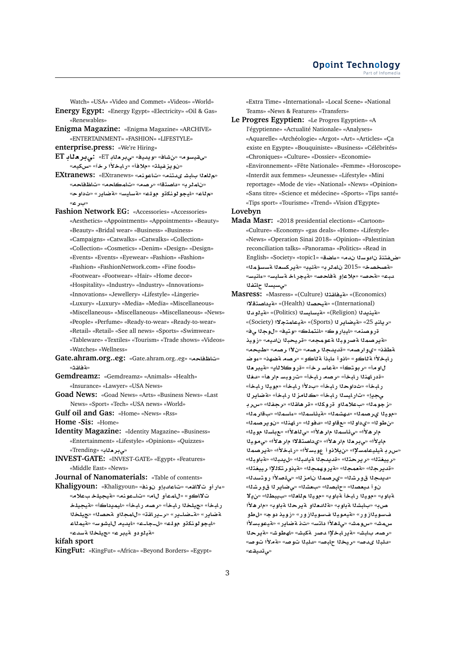Watch» «USA» «Video and Commet» «Videos» «World»

**Energy Egypt:** «Energy Egypt» «Electricity» «Oil & Gas» «Renewables»

- **Enigma Magazine:** «Enigma Magazine» «ARCHIVE» «ENTERTAINMENT» «FASHION» «LIFESTYLE»
- **enterprise.press:** «We're Hiring»
- **ET A`r¨:** «ET **A`r¨**» «**yd§w**» «**AJ**» «**wFyqY**» «نو يز فيلة» «ملافأ» «ر.ابخلأا ر.خآ» «سكيم»
- **EXtranews:** «EXtranews» «**nwA**» «**ntd« JbA `A**» «نام<sup>ل</sup>ر ب» «داصتقا» «رصه» «تامكاحه» «تاظفاحه» «<mark>م</mark>لاع» «ايجو لونكڌو مولاع» «4سايس» «4ضاير» «ثداوحه «**r** »
- **Fashion Network EG:** «Accessories» «Accessories» «Aesthetics» «Appointments» «Appointments» «Beauty» «Beauty» «Bridal wear» «Business» «Business» «Campaigns» «Catwalks» «Catwalks» «Collection» «Collection» «Cosmetics» «Denim» «Design» «Design» «Events» «Events» «Eyewear» «Fashion» «Fashion» «Fashion» «FashionNetwork.com» «Fine foods» «Footwear» «Footwear» «Hair» «Home decor» «Hospitality» «Industry» «Industry» «Innovations» «Innovations» «Jewellery» «Lifestyle» «Lingerie» «Luxury» «Luxury» «Media» «Media» «Miscellaneous» «Miscellaneous» «Miscellaneous» «Miscellaneous» «News» «People» «Perfume» «Ready-to-wear» «Ready-to-wear» «Retail» «Retail» «See all news» «Sports» «Swimwear» «Tableware» «Textiles» «Tourism» «Trade shows» «Videos» «Watches» «Wellness»
- **Gate.ahram.org..eg:** «Gate.ahram.org..eg» «**A\A**» «**مقاقش»**
- **Gemdreamz:** «Gemdreamz» «Animals» «Health» «Insurance» «Lawyer» «USA News»
- **Goad News:** «Goad News» «Arts» «Business News» «Last News» «Sport» «Tech» «USA news» «World»
- **Gulf oil and Gas:** «Home» «News» «Rss»

**Home -Sis:** «Home»

**Identity Magazine:** «Identity Magazine» «Business» «Entertainment» «Lifestyle» «Opinions» «Quizzes» «**يېر دناب»** «Trending»

**INVEST-GATE:** «INVEST-GATE» «Egypt» «Features» «Middle East» «News»

**Journal of Nanomaterials:** «Table of contents»

«عار أو ت<sup>8</sup>القه» «تاعادبإو نونف» «Khaligyoun: «Khaligyoun تلااكو» «للممأو للله» «تا\_عونم» «قيجيلخ بعلام» ر ابخأ» «جيلخلا ر ابخأ» «**رصه ر ابخأ» «ايمدداكأ» «ةيجيلخ ly**» «**OT ¤mA**» «**qAC§þr**» «**C§þARþT**» «**C§ART** «ايجو لونكتو مول<sub>ك</sub>» «ل\_جا\_ع» «ايديم لليشوس» «ةيمللاء «مةيلودو م*قيبر* ع» «جيلخلا م*قسدع*»

**kifah sport**

**KingFut:** «KingFut» «Africa» «Beyond Borders» «Egypt»

«Extra Time» «International» «Local Scene» «National Teams» «News & Features» «Transfers»

**Le Progres Egyptien:** «Le Progres Egyptien» «A l'égyptienne» «Actualité Nationale» «Analyses» «Aquarelle» «Archéologie» «Argot» «Art» «Articles» «Ça existe en Egypte» «Bouquiniste» «Business» «Célébrités» «Chroniques» «Culture» «Dossier» «Economie» «Environnement» «Fête Nationale» «Femme» «Horoscope» «Interdit aux femmes» «Jeunesse» «Lifestyle» «Mini reportage» «Mode de vie» «National» «News» «Opinion» «Sans titre» «Science et médecine» «Sports» «Tips santé» «Tips sport» «Tourisme» «Trend» «Vision d'Egypte»

### **Lovebyn**

- **Mada Masr:** «2018 presidential elections» «Cartoon» «Culture» «Economy» «gas deals» «Home» «Lifestyle» «News» «Operation Sinai 2018» «Opinion» «Palestinian reconciliation talks» «Panorama» «Politics» «Read in **English» «Society» «topic1» «عاضة» «Lopic1» «Society» «topic1»** «*تصخصخ»* **«2015 ناملر به «مقير» «قير كسعلا مسسؤملا»** «**FynAº**» «**FyAFT ACyT**» «**}AT ¤®**» «**}T**» «**bd** «مىسيسدا حلتفدا
- **Masress:** «Masress» «(Culture) **qAyT**» «(Economics) **¯tOA §T**» «(Health) **OyT**» «(International) **d¤yT**» «(Politics) **syAFyT**» «(Religion) **d§nyT**» «**رباند 25» «هيضاير ل**ا (Sports)» «هيعامتجلاا (Society)» «**¨ w**» «**ytw**» «**lmtnA**» «**wCyA**» «**nOwC** «<mark>ةيرصم</mark>ا ةصروبا اةعومجه» «قريحباا نالييه» «زويذ «**yX**» «**Or µ** » «**Or d§d**» «**Or¤©**» «**qWT** ر ابخلاًا a'لكو » «اذو أ ءابذأ a'لكو » «ر صم aضهذ» «ءو ض **`ryT**» «**§A®wC**» «**r FAT**» «**twr**» «**w** «قدر اهذلا رابخاً» «رصه رابخاً» «تاروباس مار هاً» «دفلاً ر ابخأ» «ثداوحـ1 ر ابخأ» «بدلأا ر ابخأ» «مويـ1 ر ابخأ» **r§ART**» «**bAC zA**» «**bAC syAC**» «**§¨** «**ز جوم**نا» «بعلامناو قروكنا» «قرهاقنا» «رجفنا» «سرب «مويذا يرصمنا» «دهشمنا» «قيئاسمنا» «عاسمنا» «سقار منا» «من طوله» «ي داوله» «مع قاوله» «دفوله» «راهنله» «ن وير صمله» «**yw sA**» «**±¡A¨**» «**±¡r msA¶¨**» «**±¡r** مايلاًا» «ي بر مثا مار هلاًا» «ي داصتقلا! مار هلاًا» «ي مونيئا «سر بـ ميليـعامسلإا» «ن.يلانو أ عوبسلاًا» «ر.ابـخلاًا» «م<sub>ت</sub>رصمنا «**رييغت**لا» «ريرحتلا» «قديدجلا ةيامبلا» «ليدبلا» «ةباوبلا» «قديرجلا» «<mark>مقمجل</mark>ا» «مقيروهمجلا» «مقينورتكللإا رييغتلا» «لديدجلا قورشل<sup>»</sup> «ىرصملا نامزلل» «ىلصلاًا روتسدلل» نوأ ديعصنا» «حابصنا» «بعشنا» «ي ضاير نا قورشنا» **¯§**» «**Wby** » «**`A yw**» «**wT bAC yw**» «**wT** صب» «بـابشـلـا ةـباو بـ» «**ةللدمـلـاو ةـير حـلـا ةـبـاو بـ» «م**ار هـلأا فسوي<mark>ن</mark>ازور» «ةيموينا فسوينازور» «زويذ دوج» «لطو س.مش» «سومش» «ىلهلأا داتس» «تi ةضاير.» «ةيعوبسلأا «**رصه بابش» «ةيرابخلإا دصر ةكبش» «لهطوش» «ةيرحل**ا «**للبـ1ا ي.صه» «ريخـ1ا جلبصه «للبـ1ا توصه «ةمـلأا توصه**» «بى **تىبق**ى»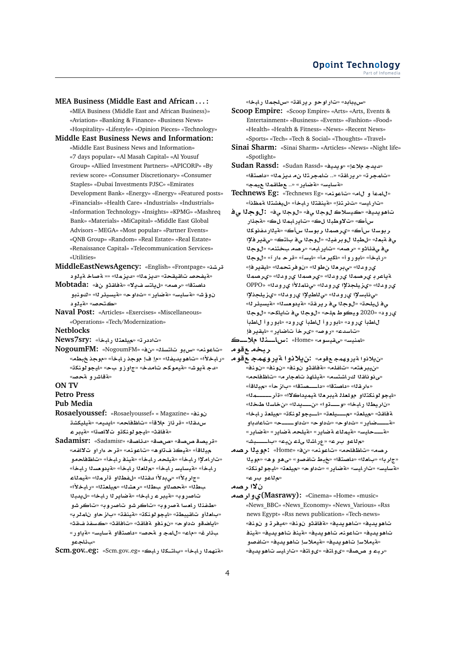**MEA Business (Middle East and African . . . :** «MEA Business (Middle East and African Business)» «Aviation» «Banking & Finance» «Business News» «Hospitality» «Lifestyle» «Opinion Pieces» «Technology»

**Middle East Business News and Information:** «Middle East Business News and Information» «7 days popular» «Al Masah Capital» «Al Yousuf Group» «Allied Investment Partners» «APICORP» «By review score» «Consumer Discretionary» «Consumer Staples» «Dubai Investments PJSC» «Emirates Development Bank» «Energy» «Energy» «Featured posts» «Financials» «Health Care» «Industrials» «Industrials» «Information Technology» «Insights» «KPMG» «Mashreq Bank» «Materials» «MiCapital» «Middle East Global Advisors – MEGA» «Most popular» «Partner Events» «QNB Group» «Random» «Real Estate» «Real Estate» «Renaissance Capital» «Telecommunication Services» «Utilities»

**MiddleEastNewsAgency:** «English» «Frontpage» «**Kr ¤yT A}T** »» «**mz§d**» «**mz§d**» «**qyqA }fyT**»

**Mobtada:** « **¤qAT**» «**¯§ FtA§**» «**Or**» «**tOA ¤nw**» «**r¶ysyT**» «**w** » «**C§ART**» «**FyAFT**» «**J¥¤**  «ڪتحص» «**قد**له د

**Naval Post:** «Articles» «Exercises» «Miscellaneous» «Operations» «Tech/Modernization»

**Netblocks**

«تاددر ت» «ميلعتلا رابخأ» :News7sry

- **MOGOUMFM:** «NogoumFM» «فتاعونه» «سربو تاتسلا» «ن «رابخلأا» «تاهويديفنا» «م! فإ موجد رابخأ» «موجد خبطه» «دج ةيوش» «ةيموكح تامدخ» «ج|وزو بح» «ليجولونكة» «**ةقاشرو ةحص**»
- **ON TV**

**Petro Press**

- **Pub Media**
- **Rosaelyoussef:** «Rosaelyoussef» « Magazine» «**nw**  س،دقـلا» «قر\_ئاز\_ملاقأ» «ت|ظـفاحـم» «ايديـم» «ةيليكشة «مقاقث» «ايجو لونك**تو ت**لااصتا» «م*ت*يبر ع
- **Sadamisr:** «Sadamisr» «**OA¶d**» «**OP**» «**OP Oyr**» «**fA¯ ¤Cº r**» «**nwA**» «**¡w ÐyT**» «**Ay** «ت|ر|ملإ| ر|بخأ» «قيلحه ر|بخأ» «قينف ر|بخأ» «ت|**ظفاحه**و ر ل*ب*خأ» «قيسايسـر لبخأ» «مللعلا ر لبخأ» «قيدو مسلا ر لبخأ» «جار بـلاًا» «ي.بدلاًا مقذلك «للفطلاو قأر ملك «قيملاء «**±bAC**» «**t`ly**» «**K`r**» «**W ¤OT**» «**W**  تاصروب<sup>» «</sup>قيبر عاربخا» «قضاير لـ رابخا» «ل يدبل «*طفذنا رامسا ةصروب» «ت*اكر *شو* تاصروب» «تاكر *شو* «با**م**ـْأو تاقيبطـّ» «ليجو لونكت» «aينقـّت» «باز حاو نامـلربه «اياضقو ثداوح» «نونفو ةفاقث» «تافاقث» «كسفذ *ف*اقث» «**C¤§T**» «**FyAFT ¤tOA** » «**}T ¤ mA**» «**A**» «**r¶**  «سائلح**مه**

**Scm.gov..eg:** «Scm.gov..eg» «**bAC kþtA** » «**bAC mhnT**»

«**س يبابد» «تار او حو رير اق**ت» «س لجملا رابخا»

**Scoop Empire:** «Scoop Empire» «Arts» «Arts, Events & Entertainment» «Business» «Events» «Fashion» «Food» «Health» «Health & Fitness» «News» «Recent News» «Sports» «Tech» «Tech & Social» «Thoughts» «Travel»

- **Sinai Sharm:** «Sinai Sharm» «Articles» «News» «Night life» «Spotlight»
- **Sudan Rassd:** «Sudan Rassd» «**yd§w**» «**® d§d**» «تامجر ت<sup>ه</sup> «ر يرافق» «.. تامجر **تلا ن**0 ديز مله» «داصتقه» «**بةسليس» «aضاير» «.. ـع طاقمنا عيمج**»
- **Technews Eg:** «Technews Eg» «**nwA**» «**A ¤ mA**» «تار ايس» «ت نر تذإ» «**فينقت**لا ر ابخأ» «ليغشتلا فمظذأ»
- تاهويديف» «ڪيسلاڪ لوج**ن**ا <sub>ص</sub>ف» «لوجنا <sub>ص</sub>ف» :لوج**ن**ا صف سأك» «**ت**الاوطبـ11 لڪ» «تـاير ابـمـ11 لڪ» «ةجـدّار **kwfdCyT**» «**-x swr mOr©**» «**-x swr** ي**e ةبع**ك «للطبلا لوبر فيك «لوجلا يiف بالتك» «يقير فلإا ي في قناشو» «رصمه «تاير ابه» «رصه بختنه» «لوجلا **w**» «**Cº r**» «**FyA**» «**r§kA**» «**¤C¤A**» «**bAC**» ىرومانه «ىبرمان لمولله «نوفرتحمانه «ليقيرفإ» **mOr©**» «**d¤C© mOr©**» «**d¤C© mOr© rA§T** OPPO» «**d¤C© ±mA¨**» «**d¤C© ³lyz©**» «**d¤C©** «ى نابسلاا ى رودنا» «ى ناطيلاا ى رودنا» «ى زيلجذلاا ي<mark>ْفْ لْبِيْلْحدَ» «لْوْجِرْا يْ فْ رِيْرِ قْدَ» «aيسيان «فيسيئر ل<sup>ه»</sup></mark> ي رود» «2020 ويكوط ملح» «لوجل<sub>ا عا</sub>فات اياكح» «لوجلا **WA ¤C¤A**» « **¤C© WA ¤C¤A**» « **¤C© WA r§qyA**» «**C§ARA r«**» «**}wC**» «**dFA**» **þþ® nþþAx:** «Home» «**wFyqY**» «**FynmA**»
- **ربخه ع**قوم
- «نيلانواةيرو<sub>گ</sub>مجـمقوم» **:نيلانوا ةيروپمجحـمقوم** «من يبر <del>ف</del>تم» «تافلم» «ةفاقثو نونف» «نونف» «نونف «مى نو ناقـ1ا كـر اشتسـم» «ةيئلهـذ ت<mark>امجار م» «تاظفاح</mark>م» «عار قـلا» «داصتـقا» «داـــــصتـقا» «بIز حـأ» «ميـلـاقـأ» «**mþþþþþr**» «**¯A §myT `ryT l`lw ¤tknwwyA**» «ناريط<sup>ز</sup>ا رابخا» «و\_\_\_توا» «ن\_\_\_يدل<sup>ا</sup>» «نخاسنا طخل<sup>ا</sup>» ةفاقث» «ميلعة» «مــــيلعة» «الــيجو لونكة» «ميلعة رابخا» **¤dA**» «**þþþþw** » «**w** » «**w** » «**C§ARþþþþT**» «**Aهــــحايس» «قيملاء ةضاير» «قيلحه ةضاير» «قضاير»** «**م ل**اعو برع» «عراشلا ىلء نيء» «باــــبشه
- **Or yw:** «Home» «» «**nwA**» «**A\A**» «**Or** «جار با» «با**م**ـنا» «داصـتـقا» «خبط تـافـصـو » «ي هـو و هـ» «مو يـنـا «**knwwyA**» «**`ly**» «**w** » «**C§ART**» «**FyAC**» «**FyAFT**» «<mark>م</mark>لاعو برع»

ن لاا رصه

**Or¤©(Masrawy):** «Cinema» «Home» «music» «News\_BBC» «News\_Economy» «News\_Various» «Rss news Egypt» «Rss news publication» «Tech-news» «**nw ¤ ry¢**» «**nw ¤qAT**» «**yd§w¡A**» «**yd§w¡A** تاهو يديغ» «تاعوذم تاهو يديغ» «**ةين**ف تاهو يديف» «ةينف **¤}fA**» «**yd§w¡A F®yT**» «**yd§w¡A F®yT**» «*دب*ء و صصدق» «يوباتف» «يوباتف» «تارايس تاهويديف»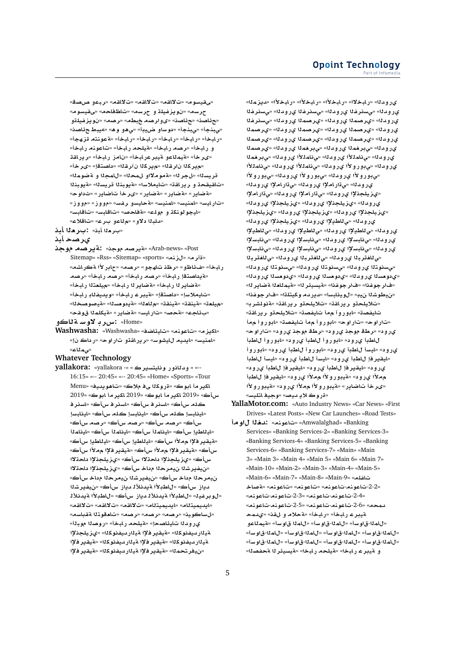«**OP ¤br**» «**qA¯**» «**qA¯**» «**qA¯**» «**wFyqY**» حرسه» «نويزغيلة و حرسه» «تاظفاحه» «<sub>ما</sub>قيسوم» **¤lyfz§w** » «**Or**» «**Wb Or¤«**» «**OA¶**» «**OA¶**» «*ي.ب*نجأ» «ي.بنجأ» «دو ساو ضيدٍبأ» «ي هو و ه» «ميبط ح ئاصنه «ر ابخأ» «ر ابخأ» «ر ابخأ» «ر ابخأ» «ر ابخأ» «**A**عونته قز هجأ» و رابخأ» «رصه رابخأ» «ةيلحه رابخأ» «تاعونه رابخأ» **qAC§r**» «**bAC EA** » «**bACryT ¤AmyT**» «**r«**» «م<sub>ا</sub>ير كلا نار قله» «م<sub>ا</sub>ير كلا ن آر قله» «داصتقإ» «ىر خأ» قريسـلـ» «لجر لـ» «ةمومـلااو لمحـلـ» «للمجـلـا و ـةضومـلـا» **nbw§T**» «**syr nbw§T**» «**F®yA**» «**qAC§r ¤ qyqA**» «**w** » «**C§ARA r«**» «**C§ART**» «**C§ART**» «**C§ART**» «**E¤¤**» «**E¤¤**» «**Ffr ¤FyAT**» «**FynmA**» «**FynmA**» «**FyAC**» «ايجو لونكة و مولم» «**ةفاحص» «تاقابس» «تاقابس**» «دلب**لا دلاو» «م ل**اعو برع» «تاقلاع»

«بر**د**لا أبن» **:برهلا أبذ** 

## **ي**رصح أبذ

**w Or§T:** «**w Or§T**» «Arab-news» «Post Sitemap» «Rss» «Sitemap» «sports» «**nz**» «**r**» «**KACT ±CA**» «**Or**» «**¤hA \r**» «**¤ZA¶**» «**bAC** «**فيداصتقإ رابخأ» «رصه رابخأ» «رصه رابخأ» «رصه** «**فضاير نا رابخأ» «فضاير نا رابخأ» «ميلعتنا رابخ**أ» «تايملاسإ» «داصتقإ» «ةيبر عار لبخأ» «ويديفناد رابخأ» «ميلعة» «هينقة» «هينقة» «مالعله» «قيدو مسله» «هيصوصخله» «**qw mlkyT**» «**C§ART**» «**FyAC**» «**}T**» «**A¶** »

**¤AT Fw¯ rx:** «Home»

**Washwasha:** «Washwasha» «**SA¶yA**» «**nwA**» «**z§kA**» «امنيس» «ايديم لليشوس» «رير اقتو تار اوح» «ر داك ن!» «مى مال**ا**ع»

#### **Whatever Technology**

**yallakora:** «yallakora -» « **r§styAw C¤Ad¤** » «-- 16:15» «-- 20:45» «-- 20:45» «Home» «Sports» «Tour Menu» «**yd§w¡A**» «**® Y kwC**» «**wA r§kA** 2019» «**wA r§kA** 2019» «**wA r§kA** 2019» «**-x** ڪلم سأڪ» «اسنر فـ سأڪ» «اسنر فـ سأڪ» «اسنر فـ «لينابسإ كله سأك» «لينابسإ كله سأك» «لينابسإ س\ڪ» «رصه س\ڪ» «رصه س\ڪ» «رصه س\ڪ» «ا**يـناطـي**ا ِ سِأڪ» «ايـنامـنـأ سِأڪ» «ايـنامـنـأ سيـأڪ» «ايـنـامـنـأ «**مقير فلإا م ملأا سأك» «ايللطي**إ سأك» «ايللطيإ سأك» سأك» «ةيقير فلإا م•دلأا سأك» «ةيقير فلإا م•دلأا سأك» سأك» «ي(يلجذلإا داحةلاا سأك» «يزيلجذلإا داحةلاا «ن.يفير شنا نيمر حنا مداخ سأك» «يزيلجنلإا داحتلاا نيمر حل**ا مداخ سأك» «نيفيرشلا نيمر حل**ا مداخ سأك» دياز سأك» «ل**اطڊلأا ةيدنلأل** دياز سأك» «نيفيرشلا «لو بر فيـك» «ل**ـاطـبـلأا ةيـدنـلألـ ديـاز سأك» «ل**لطـبـلأا قيدنـلألـ «**qA¯**» «**qA¯**» «**qA¯**» «**Atymyd§A**» «**Atymyd§A**» «ل**ساكوين**» «رحمه» «رحمه» «رحمه» «تامقو تلا <mark>مقباس</mark>م» ير و داا تايئاصحإ» «**ميلحه رابخأ» «روص**اا موبال<sup></sup>أ» **³lyz©**» «**kwfydCyT ³r§qyT**» «**kwfydCyT** قياار ديفنوكلا» «قيقير فلإا قياار ديفنوكلا» «قيقير فلإا «ن.يغر تحمل<sup>»</sup> «مقيقير فلإا ميلار سيفنو كلا» «مقيقير فلإا

ىر ومالل» «رابخلال» «رابخلاًا» «رابخلاًا» «رابخلاًا» «مايزمالك **frs¨**» «**d¤C© frs¨**» «**d¤C© frs¨**» «**d¤C© frs¨**» «**d¤C© mOr©**» «**d¤C© mOr©**» «**d¤C© mOr©**» «**d¤C© mOr©**» «**d¤C© mOr©**» «**d¤C© mOr©**» «**d¤C© mOr©**» «**d¤C© mOr©**» «**d¤C© mOr©**» «**d¤C© mr¨**» «**d¤C© mr¨**» «**d¤C© mr¨**» «**d¤C© ±mA¨**» «**d¤C© ±mA¨**» «**d¤C© ±mA¨**» «**d¤C© ±mA¨**» «**d¤C© ±¤C¤¨**» «**d¤C©** «*ي*ڊورو لاا يرودنا» «يڊورو لاا يرودنا» «يڊورو لاا ي رومانا» «ى تار املإا ي رومانا» «ى تار املإا ي رومانا» «يزيلجذلإا يرودنا» «يڌاراملإا يرودنا» «يڌاراملإا ي(ودنا» «يزيلجذلإا ي(ودنا» «يزيلجذلإا ي(ودنا» «يزيلجذلإا يرودنا» «يزيلجذلإا يرودنا» «يزيلجذلإا ىرومانه «ى ناطيلا ي رومانه «ىزيلجانلا ي رومانه» ي رومانه «ى ناطيلإا ي رومانه «ى ناطيلإا ي رومانه «ى ناطيلإا ى رودنا» «ى نابسلاا ى رودنا» «ى نابسلاا ى رودنا» «ى نابسلاا ى رودنا» «ى نابسلاا ى رودنا» «ى نابسلاا ى رودنا» «ى نابسلاا «ى للغتربة اى رودنا» «ى للغتربة اى رودنا» «ى للغتربة ا «*يس*نوټلا يرودلل» «يسنوټلا يرودلله «يسنوټلا يرودلله «ىدوهسلا ىرودلل» «ىدوهسلا ىرودلل» «ىدوهسلا ىرودلل**»** «فارجوغذا» «فارجوغذا» «**قيسيئر ل**ا» «قيمللعلا قضاير لـا» «من يطوشنا من يب» «ل و ينابسا» «دير دم و كيتلةا» «فار جوغذا» «تلايلحةو ريراقة» «تلايلحةو ريراقة» «<mark>ةنولشرب</mark>» تايفصة» «ابوروأ ممأ تايفصة» «تلايلحةو ريرا<del>ل</del>قة» «تار اوح» «تار اوح» «ابور و أ م¤اً تايفصت» «ابور و أ م¤اً ي رو د» «ر طق موجذ ي رو د» «ر طق موجذ ي رو د» «ت ار او ح» للطبأ ي رو د» «ابو رو أ للطبأ ي رو د» «ابو رو أ للطبأ يرود» «ليسأ للطبأ يرود» «ابوروأ للطبأ يرود» «ابوروأ «ايقير فإ للطبأ ي رود» «ليسأ للطبأ ي رود» «ليسأ للطبأ ي(ود» «ليقير فإ للطبأ ي(ود» «ليقير فإ للطبأ ي(ود» **WA r§qyA**» « **¤C© ± ±¤C¤yT**» « **¤C© ± ±¤C¤yT**» « **¤C© ± ±¤C¤yT**» «**C§ARA r«**» «**قر وك لا يـ ديـصـ» «و جيـفـ اتـلـي**سـ»

**YallaMotor.com:** «Auto Industry News» «Car News» «First Drives» «Latest Posts» «New Car Launches» «Road Tests»

**w d:** «**nwA**» «Amwalalghad» «Banking Services» «Banking Services-2» «Banking Services-3» «Banking Services-4» «Banking Services-5» «Banking Services-6» «Banking Services-7» «Main» «Main 3» «Main 3» «Main 4» «Main 5» «Main 6» «Main 7» «Main-10» «Main-2» «Main-3» «Main-4» «Main-5» «Main-6» «Main-7» «Main-8» «Main-9» «**lfA A}T**» «**nwA**» «**nwA**» «**nwA**-**nwA**-2-2» «**nwA**-**nwA**-2-3» «**nwA**-**nwA**-2-4» «**nwA**-**nwA**-2-5» «**nwA**-**nwA**-2-6» «**md** قيبر عـ ر ابـخأ» «ر ابـخأ» «<mark>قحلام و للقذ» «ي</mark>دمحـ **¤AmyT**» «**Fw mA**» «**Fw**-**mA**» «**Fw**-**mA**» «**Fw**-**mA**» «**Fw**-**mA**» «**Fw**-**mA**» «**Fw**-**mA**» «**Fw**-**mA**» «**Fw**-**mA**» «**Fw**-**mA**» «**Fw**-**mA**» و هيبر عار بلوخا» «هيلحه رابخا» «هيسيئر لـ هجفصلل»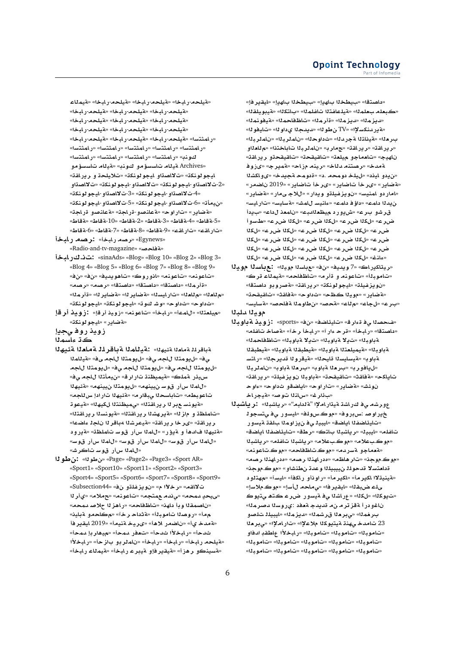**AmyT**» «**bAC**-**lyT**» «**bAC**-**lyT**» «**bAC**-**lyT**» «**فيلحه-رابخا» «قيلحه-رابخا» «قيلحه-رابخا»** «**فيلحه-رابخا» «فيلحه-رابخا» «فيلحه-رابخا»** «**فيلحه-رابخا» «فيلحه-رابخا» «فيلحه-رابخا»** «ر امثتسا» «ةيلحم-ر ابخا» «ةيلحم-ر ابخا» «ةيلحم-ر ابخا» «رامثتسا» «رامثتسا» «رامثتسا» «رامثتسا» «رامثتسا» «**FtmAC**» «**FtmAC**» «**FtmAC**» «**FtmAC**» «**nw ¤¥FsA AyT**» «**nw ¤¥FsA AyT** Archives» ليجو لونكة» «ت<sup>ل</sup>الصةاو ليجو لونكة» «تلايلحة و ر يرلقة» **¤OA¯**» «**knwwyA**-**¤OA¯**» «**knwwyA**-**¤OA¯**-2» «4-تلااصدّاو -ايجو لونكة» «3-تلااصدّاو -ايجو لونكة» « $\alpha$ ن يمأت» «6-ت لااصدتاو -ايجو لو نكت» «5-ت لااصدتاو -ايجو لو نكت «aطاير» «تاراوح» «aعلنصو-قراجة» «aعلنصو قراجة» «**VAT**» «**VAT**-10» «**VAT**-2» «**VAT**-3» «**VAT**-4» «**VAT**-5» «**VAT**-6» «**VAT**-7» «**VAT**-8» «**VAT**-9» «**qAC**» «**qAC**»

- «Egynews» «رصد رابخة» : رصد رابخاً «**بة فاحص»** «Radio-and-tv-magazine»
- **bAC. :** «sinaAds» «Blog» «Blog 10» «Blog 2» «Blog 3» «Blog 4» «Blog 5» «Blog 6» «Blog 7» «Blog 8» «Blog 9» «» «» «**yd§w¡A**» «**wC¤A**» «**nwA**» «**nwA**» «قأر مِدْا» «داصتةا» «داصتةا» «داصتةا» «ر صه» «ر صه» «م للعله» «م للعله» «تار ايسله» «ةضاير له» «ةضاير له» «ةأر مله» «**knwwyA**» «**knwwyA**» «**w Jw**» «**w** » «**w** »
- «ميلعتنا» «للمعاً» «رلبخاً» «تاعونه» «زويد أرقإ» **:زويد أرقإ** «**لة ضاير»** «ايجو لونكة»

زويذ روف*ي*جيإ

ڪڌ **عاسم**ڻا

- ةباقر**لل**ةماملا مقيهلا» : مقيللملا مقباقر لملا مقاملا المقيها ى ف» «ل يومتلا للجه ي ف» «ل يومتلا للجه ي ف» «مة يللملا «ل<sub>ا</sub>يومتلا للجه ي≜» «ليومتلا للجه ي≜» «ليومتلا للجه س2فر قملڪ» «قيميظنڌ تار ار ق» «نيمأتـلا للج*م ي*0» «لاملا سأر قوس*ت نيينهم»* «ليومتلا نيينهم» «مقيهلا تاعوبطم» «تاباسحل<sub>ّ</sub>ا <sub>ص</sub>بقار م» «ةئيهلا تار ادإ س1لجم» «**ةيونس ع**بر 1ا ر ير اقتلا» «يميظنتلا لكيهل<sup>ا» «</sup>قيعو تـ «تاملظة و ماز ل<sup>ا» «</sup>ةيرهشةا ريرافةتة» «ةيونسةا ريرافةتة» ر ير اقة» «ىر خا ر ير اقة» «ةيعرشنا 4باقر نا ناجا عاضعا» «قئيه<sup>ز</sup>ا فادهأ و قيؤر» «للم<sup>ز</sup>ا سأر قوسـ تلملظة» «قيرود «**للملا سأر قوس» «للملا سأر قوس» «للملا سأر قوس»** «*ٿامدا سأر قوستاڪر ش*ه
- **wV:** «**wV**» «Page» «Page2» «Page3» «Sport AR» «Sport1» «Sport10» «Sport11» «Sport2» «Sport3» «Sport4» «Sport5» «Sport6» «Sport7» «Sport8» «Sport9» «Subsection44» « **¤lfz§w** » « **µr**» «**qA¯** «<mark>سيحد</mark> للمحه» «ي ندم لم متجه» «تاعو نه» «لامته» «ي أر 11 «ناصمقاا و بأ داهذ» «تاظفاحه» «راهز لـا حلاص*د دمحه*» م مـأ» «روصلا تاموبـل<sup>ـ</sup>أ» «aتداحـرخآ» «مكاحمو لقبلينه **r§qyA** 2019» «**ynT yr«**» «**¡® CSA** » «**© dT**» ثدحأ» «رابخلأا ثدحأ» «تعفر ممحأ» «ميهار بإ ممحأ» «**aَيلحه رابخأ» «رابخأ» «رابخأ» «نام**لر بو باز حأ» «رابخلأا «**فسينكو رهزأ» «فيقير فإو فيبر عربابخأ» «فيمل**اع رابخأ»

«داصتقا» «بىيطخـ11 بIميا» «بىيطخـ11 بIميا» «ليقير فإ» «كبعلم بعلمـلا» «aلملفـتـلا تـافـلمـلا» «بـاتـكـلـا» «aليبو يـلـقـلـا» «ديز ملك» «ديز ملك» «قأر ملك» «تا**ظڤاحمل**ك» «قيڤونملك» «**¤ير دنكسلإا» «TV» ن طو 1**1» «ديدج11 ي داو 11» «تايفو 11» ب\_ر مـ 1ا» « $\tilde{\mathbf{x}}$ يـنـاثـ11  $\tilde{\mathbf{x}}$ جر 1ـ 1ا» «ثـداوحـ 11» « $\mathbf{y}$ يــات (بـ 11» «نـامـلـر بـ 11» «رير اقت» «رير اقت» «جمار به «نام لربانا تاباختنا» «م للعالو «**qAC§r ¤qyqA**» «**qyqA**» «**`ly ¤A`A**» «**yhA wE«**» «**r§mT**» «**AE nyr**» «**Ad ntOr**» «**dT KkA¤«**» «**d§T mw** » «. **mw ly**» « **yA ¤ §**» «**¤ضاير» «ىر خا تاضاير» «ىر خا تاضاير» «2019** ناضمر» «امار دو امنيس» «نويزغيل**تو ويدار» «للاجـىمار» «ةضاير»** «**FyAC**» «**FyAFT**» «**JmA FynAº**» «**mA ¥** » «**mA d§** قر *شو* بر ع» «ش يور د م<sub>ا</sub>يظعـللبـه» «نامعـذ ل1ع» «بـيدأ **¤FX**» «**r| k**» «**r| k**» «**r| k**» «**r| k**» «**r| k**» «**r| k**» «**r| k**» «**r| k**» «**r| k**» «**r| k**» «**r| k**» «**r| k**» «**r| k**» «**r| k**» «**r| k**» «**r| k**» «**r| k**» «**r| k**» «**r| k**» «**nAº**»

- «ريتاكيراك» «7 ويديف» «نف» «عباسنا موينا» **: عباسنا موينا** «تاموبِـلأ» «تاعونـم و ةأر م» «تاظفاحم» «ةيملاء قر ك» «نويزغيلة» «ليجو لونكة» «ريرا**شة» «ةصروبو داصت**قا» «**qyqA**» «**qAT**» «**w** » «**\ yw**» «**C§ART**» «ب رع» «لجاع» «م لاع» «ةحصه «ن طاوماللة فاحصه «ةسايسه» موي**ن**ا ملبنا
- «فحصلنا ى فقءار ق» «تايئاضف» «ن ف» «sports» : زويد قمباوبلا «داصتقا» «رابخأ» «قرح ءار آ» «رابخأ رخآ» «قصاخ تالفله» ةباوبـلـ» «ت1**يـلا 1 باوبـلـ» «ت2 قباوبـل**ك «ت1**ظفاحمـل**ك ةباوبـلـ» «مقيميلعتـلـا مقبلوبـلـا» «مقيطبـقـلـا مقبطبـقـلـا **FtAC**» «**r§d wCyT**» «**yA syAFyT**» «**wT** «ل@فورب» «برهلا ةباوب» «برهلا ةباوب» «ناملربلا «**qAC§r**» «**lyfz§w bwT**» «**qyqA**» «**qAT**» «**kA§A wº**» «**w ¤SA§A**» «**wC**» «**C§ART**» «**J·w**  «ب**أرغ» «سانـ11 تـوصه» «لقيجر اخـ**
- عورشه ى فكراشة ميتاراملإا "ماليهم"» «رياشبنا» : ريا**شب**ال خڍر او صـ :س.بر و ف<sup>ي</sup> «مو ڪ.سو.لـف» «ايـسـو ر\_ ي فـي<del>ٽسجو ل</del>ـ «تايئاضفـلا اياضة» «ايبيـلـي**فـن**يز اومـلـا بـالقـة قيسوار تافله» «ليبيل» «رياشبلا باتك» «رطق» «تايئاضفلا اياضة» «موك.بعلام» «موك.بعلام» «رياشبذا تاغلم» «رياشبذا «**مقعاجو مقسردم» «موڪ.تاظفاحم» «موڪ.تاعو.ن**م» «موك.موجن» «تار هاظم» «مدر اهن<mark>دا رص</mark>مه» «مدر اهندا رصمه قدا**م**تسلا قدحوللا ن1يبيللا وعدة نطنشاو» «موك.موجنه «**لقينيةلاا اكير مـأ» «اكير مـأ» «راو ذ**أو ر اكـفأ» «ايسـآ» «مهتلو د «**F®**.**w**» «**F- A¨**» «**r§qyA**» «**qb{ lY** «ت يو کڻا» «لکڻا» «عراشڻا ي<sup>و</sup> ةيسور ضرر عڪتھ يتيو *ڪ* ناغو در أ ةقز تر ما ن،م قديدجا ةهفد :يروسنا دصر منا» بارخمـلـ» «ي.برحـلـ قـرـشمـلـ» «ديزـمـلــ» «ايبيـلـلــتـلـصـو 23 تامد*خ یهذ*ڌ ةيتيوكلا ملاعلإا» «تاراملإا» «<sub>ع</sub>بر ملا «تاموبـ1» «تـاموبـ1» «تـاموبـ1» «رـابـخـلاًا عاطـقـدِ ادفاو «تاموبـ1» «تاموبـ1» «تاموبـ1» «تاموبـ1» «تاموبـ1» «تاموبةا» «تاموبةا» «تاموبةا» «تاموبةا» «تاموبةا»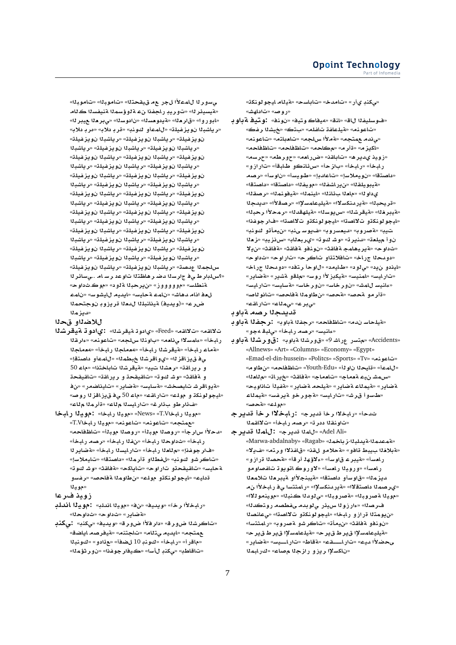ي*ٍ سو*ر لـ الـامـ2×أ الجر ـع مـ ق1يـقـحـتـلـ» «تـامـوـيـلـا» «تـامـوـيـلـا» «قيسيئر **ن**ا» «توريڊ راجفذا نء ةڻوؤسمنا ةنيفسنا ڪئام «ابور وا» «قار ملا» «ةيدومسلا» «نادوسلا» «يبر ملا عيبر لله «**رياشب**ـ1 نويزغيلـة» «للمـعأو كونبه» «قربـ دلاب» «مربـ دلابه «**lyfz§w bKA§r**» «**lyfz§w bKA§r**» «**lyfz§w**  «**رياشب**نا نويزغيلة» «رياشبنا نويزغيلة» «رياشبنا «**lyfz§w bKA§r**» «**lyfz§w bKA§r**» «**lyfz§w**  «**رياشب**<sup>1</sup>ا نويزغيلة» «رياشب<sup>1</sup>ا نويزغيلة» «رياشب<sup>1</sup>ا «**lyfz§w bKA§r**» «**lyfz§w bKA§r**» «**lyfz§w**  «رياشب<sup>ر</sup>ا نويزغيلة» «رياشب<sup>ر</sup>ا نويزغيلة» «رياشب<sup>ر</sup>ا «**lyfz§w bKA§r**» «**lyfz§w bKA§r**» «**lyfz§w**  «**ر یاشب**اا نویزغیلة» «ریاشباا نویزغیلة» «ریاشباا «**lyfz§w bKA§r**» «**lyfz§w bKA§r**» «**lyfz§w**  «رياشب<sup>ن</sup>ا نويزغيلة» «رياشب<sup>ن</sup>ا نويزغيلة» «رياشب<sup>ن</sup>ا «**lyfz§w bKA§r**» «**lyfz§w bKA§r**» «**lyfz§w**  «**رياشب**نا نويزغيلة» «رياشبنا نويزغيلة» «رياشبنا «**lyfz§w bKA§r**» «**lyfz§w bKA§r**» «**lyfz§w**  «**رياشب**ا نويزغيلة» «رياشباا نويزغيلة» «رياشباا س/لجملا عدصت» «رياشبلا نويزغيلة» «رياشبلا نويزغيلة» «؟سلبار ط ي ف جار سنا دضا ر هاظتنا تاو عد ر سام ..*.ي س*ائر نا «**w** .**w**» « **¤T br§**» «**E¤¤¤¤¤**» «**FlWnT mA** » «**FwJyA yd§A**» «**FyAT mA** » «**JA¡d AÐ `** ضر ع» «(ويديف) ةينانبل**ل**ا ل**دملا قريزوڊ نوجتحم**لا **mz§d**»

## للاض<sup>ل</sup>او قحلا

- **KryT w ©:** «**KryT w ©**» «Feed» «**qA¯**» «**qA¯** ر ابخأ» «عامسلاا يiاهم» «باونذا سلجم» «تاعونم» «ءارقذا «**فماء رلبخأ» «فيقرشل**ا رلبخأ» «**معملجل**ا رلبخأ» «معملجلا ي<mark>ْف ق يز اقز لل» «ي و اقر شلا خبطملل» «ل</mark>لممأو داصتقإ» و رير اقة» «رمشنا تيب» «ةيقرشنا تاباختنا» «ما**ء 50** و ة فاقث» «و *شـ ك*و ته «تاقيقحة و ر ير اقـته «تاقيقحة «**4يو اقر شـ تايصخش» «ةسايس» «ةضاير » «تايناضمر» «ن ف** «ايجو لونكة و أمولك» «تاراقته» «ماء 50 ي.ف ق.يزاقز لا روصه «هـ) ذار طو ب**ائار غ» «تارايس**نا م<sup>ن</sup>اع» «ةأرمنا مناع
- «موينا رلبخاT.V» «News» «موينا رلبخا» : مو**ينا رلبخا** «معمتجه» «تاعونه» «تاعونه» «مويلا رابخال*T*.V «دحلاًا سارجاً» «روصلاا موبلـأ» «روصلـا موبـلـأ» «تـا**ظـفاح**م» ر ابخأ» «ثداوحلا ر ابخأ» «نفلا ر ابخأ» «**ر صه** ر ابخأ» «فار جوغذإ» «م<sup>ل</sup>ادا رابخأ» «تارايسلا رابخأ» «ةضاير لل «تاكر شو كونب<sup>» «</sup>للفطلاو ةأرملل<sup>» «</sup>داصتقل<sup>» «ت</sup>ايملاسل<sup>»</sup> «**w Jw**» «**qAT**» «**kA§A**» «**wC ¤qyqA**» «**FyAT ¤Ffr**» «**}AT mwV**» «**lw ¤knwwyA**» «**yA**  «موي**ن**ا

#### **زوي**ذ ف**رع**ا

- «رابخلاًا رخآ» «ويديف» «ن∂» «مويلا اندلب**» : مويلا اندلب** «**w** » «**w** » «**C§ART**»
- «تاكرشنا ضور ق» «دار فلأا ضور ق» «ويديف» «<sub>ك</sub>كنڊ بيكنڊ «**SA§A OryT**» «**ntA**» «**At¨ yd§A**» «**tm** «ماقر أ» «رابخأ» «كوند 10 للضفأ» «عذادو» «كونبذا «تاقاطب» «يكنڊ لأسا» «ڪيفار جوغذا» «نو ر ثؤم**ن**ا»

«مىكند ىأر» «تـامدخ» «تـابـاسـح» «aيـلـامـ ايـجـو لـوـنكـة» «**روص»** «تاداهش»

«فوسليفـلا لاق» «لذق» «ميـفاكــوتيـف» «نـوـنـف» **:وتيـفـة بـاو بـ** «**fr Ky**» «**t** » «**lfA fAlyT**» «**nwA**» «م**ِ ندم عهتجه» «لاه لاأ سلجه» «تامباته» «تاعونه»** «اكيز م» «ةأر م» «مكاحم» «تاظفاحم» «تاظفاحم» «زوي<mark>د ىديره» «تاباقن» «ضررامه» «حورطه» «حرسه»</mark> ر ابخأ» «ر ابخأ» «باز حأ» «سرئانكو طابقأ» «تار از و » **Or**» «**Fw** » «**Fywª**» «**dA**» «**F®yw** » «**tOA** » «هيبويلقلا» «ن\_راشفلا» «مويفلا» «داصتقا» «داصتقا» «**qOr**» «**mnwyT**» «**mnyA**» «**nA¶ `A**» «**w ©** «قريحبـلا» «قيدر منكسلاا» «قيليـعامسلإا» «رصـقلاًا» «ميمجلا «لقيبرخلل» «لقيقرشلل» «سريوسلله» «لقيلهقدلل» «رمحلاًا رحبلله» «ليجو لونكتو<sub>،</sub> ت<sup>9</sup>اصتا» «ليجو لونكتو، ت<sup>9</sup>اصتا» «فار جوغذا» تيب<sup>» «</sup>aَصروب<sup>» «ب</sup>يعسروب<sup>» «</sup>فيوسىنب» «نيمأتو كونب» **`z**» «**yzH**» «**A`br©**» «**w Jw**» «**r§nd**» «**`ly ¤ ¯§**» «**qAT**» «**qAT ¤nw** » «**qAT mA¡yr§T**» «**w** » «دو دحلا جر اخ» «تافلاتئاو تاكر ح» «تار او ح» «ثداو ح» «بايذدو ن يد» «ي *ذو* د» «طايمد» «ل او حا رتافد» «دو دحلا جراخ» «تار ايس» «امنيس» «ةيكبز لأا روس» «ملقو ةشير» «ةضاير» «عانيسالامش» «نور خاس» «نور خاسه «ةسليسه «تارايسه «قأر مو ل*قحص»* «لقحصه» «نظاوملا لقفلحصه» «تانو للصه» «**qAC**» «**Am¨**» «**r¨**»

ق*ديدج*ڻا رصه ةباوڊ

- «قيلحا*س ندم*» «تاظفاحم» «رجفنا ةباوب» :رجفنا قباوب «مِانيس» «**رصه رابخاً» «ىلبة مجو**»
- «Accidents» «متسر عراش<sup>و</sup>» «قورشنا ةباوب» **:قورشنا الم باوب** «Allnews» «Art» «Columns» «Economy» «Egypt» «Emad-el-din-hussein» «Politcs» «Sports» «Tv» «**nwA**» «للمما» «مايحلا ناو لـأ» «Youth-Edu» «تا**ظفاحه» «ن طاو م**» «**`A**» «**AC§**» «**qAT**» «**A`A**» «**A`T y JmH**» «**ywA yfT**» «**C§ART lyT**» «**C§ART AmyT**» «**C§ART** «ط*سو*أ قرش» «تارايس» «ةجورخو ةيرفس» «ةيملاء «**}T**» «**lw**»
- ثدحاً» «رابخلاً رخاً قديرج» :رابخلاًا رخاً قديرجـ «تاونقلا ددر ت<sup>»</sup> «رصه رابخأ» «تلااقملا
- **r§d mA:** «**r§d mA**» «Adel Ali» «Marwa-abdalnaby» «Ragab» «**mAz**-**bld§T**-**mdmT**» «**قبلاخ**لا بسبط قافو» «قحلامو لفذ» «قافذلاا ورتم» «ف12» رامسأ» «قيبر عـ قاوسأ» «ءلاؤهاـ أرقأ» «قحصاا قرازو» ر ا*هس*أ» «و روينا ر اهسأ» «لاو روك اتويو تـ تافصاو مو ديز مـ1» «ق|و سـأو داصتـقا» «¤يبنجلأاو ةيبر <del>م</del>ـ11 تلامـ*ـد*11 «ي.رصمدا داصتقلاا» «ةير.*د*نكسلإا» «رامثتسا يفر رابخلاًا ن.*م* «موي**ن**ا a صروبنا» «ةصروبنا» «ي لودنا كنبنا» «موينمونلاا» ف رصنا» «ءار زونا س،يذر ي نوبدم ىفطصم رو<del>.</del>تڪدنا» «ن.يومتلا قراز و ر.ابخا» «ايجو لونك**تو ت**لااصدّا» «يعانص*د*ا «نونفو ةفاقث» «نيمأت» «تـاكر *ش*و ةصروب» «رامثتسا» «**ةيلي**عامسلإا ق<sub>ا</sub>ير ط ق<sub>ا</sub>ير ح» «ةيلعامسلإا قير ط قير ح» «**C§ART**» «**FyþþAC**» «**VAT**» «**qþþþAC**» «**yd ±RY** «ناكسلإا ريزو رازج**ن**ا مصاع» «كرابمنا